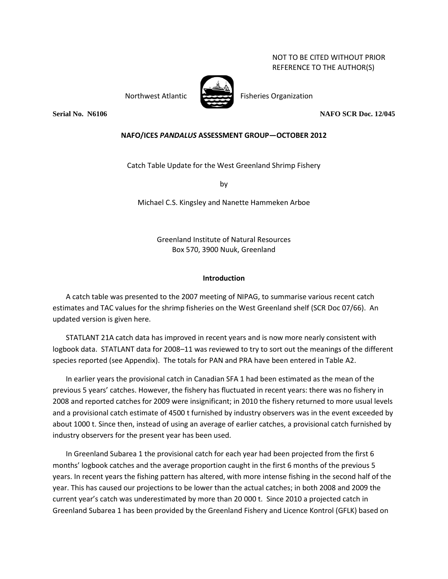NOT TO BE CITED WITHOUT PRIOR REFERENCE TO THE AUTHOR(S)

Northwest Atlantic Fisheries Organization



**Serial No. N6106 NAFO SCR Doc. 12/045**

## **NAFO/ICES** *PANDALUS* **ASSESSMENT GROUP—OCTOBER 2012**

Catch Table Update for the West Greenland Shrimp Fishery

by

Michael C.S. Kingsley and Nanette Hammeken Arboe

Greenland Institute of Natural Resources Box 570, 3900 Nuuk, Greenland

## **Introduction**

A catch table was presented to the 2007 meeting of NIPAG, to summarise various recent catch estimates and TAC values for the shrimp fisheries on the West Greenland shelf (SCR Doc 07/66). An updated version is given here.

STATLANT 21A catch data has improved in recent years and is now more nearly consistent with logbook data. STATLANT data for 2008–11 was reviewed to try to sort out the meanings of the different species reported (see Appendix). The totals for PAN and PRA have been entered in Table A2.

In earlier years the provisional catch in Canadian SFA 1 had been estimated as the mean of the previous 5 years' catches. However, the fishery has fluctuated in recent years: there was no fishery in 2008 and reported catches for 2009 were insignificant; in 2010 the fishery returned to more usual levels and a provisional catch estimate of 4500 t furnished by industry observers was in the event exceeded by about 1000 t. Since then, instead of using an average of earlier catches, a provisional catch furnished by industry observers for the present year has been used.

In Greenland Subarea 1 the provisional catch for each year had been projected from the first 6 months' logbook catches and the average proportion caught in the first 6 months of the previous 5 years. In recent years the fishing pattern has altered, with more intense fishing in the second half of the year. This has caused our projections to be lower than the actual catches; in both 2008 and 2009 the current year's catch was underestimated by more than 20 000 t. Since 2010 a projected catch in Greenland Subarea 1 has been provided by the Greenland Fishery and Licence Kontrol (GFLK) based on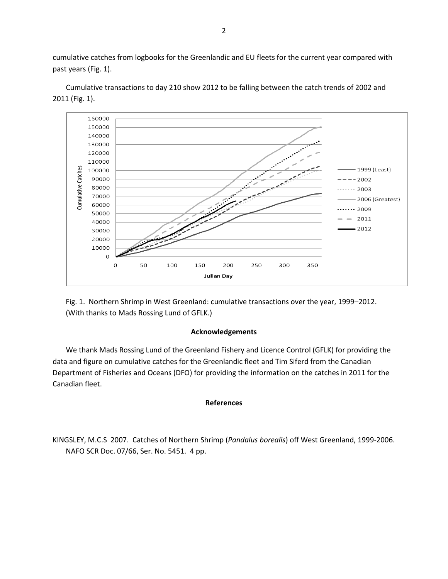cumulative catches from logbooks for the Greenlandic and EU fleets for the current year compared with past years (Fig. 1).



Cumulative transactions to day 210 show 2012 to be falling between the catch trends of 2002 and 2011 (Fig. 1).

Fig. 1. Northern Shrimp in West Greenland: cumulative transactions over the year, 1999–2012. (With thanks to Mads Rossing Lund of GFLK.)

## **Acknowledgements**

We thank Mads Rossing Lund of the Greenland Fishery and Licence Control (GFLK) for providing the data and figure on cumulative catches for the Greenlandic fleet and Tim Siferd from the Canadian Department of Fisheries and Oceans (DFO) for providing the information on the catches in 2011 for the Canadian fleet.

## **References**

KINGSLEY, M.C.S 2007. Catches of Northern Shrimp (*Pandalus borealis*) off West Greenland, 1999-2006. NAFO SCR Doc. 07/66, Ser. No. 5451. 4 pp.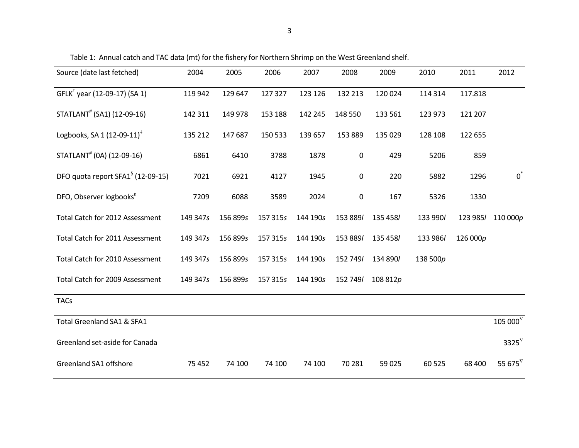| Source (date last fetched)                    | 2004     | 2005     | 2006     | 2007     | 2008        | 2009     | 2010     | 2011     | 2012               |
|-----------------------------------------------|----------|----------|----------|----------|-------------|----------|----------|----------|--------------------|
| GFLK <sup>+</sup> year (12-09-17) (SA 1)      | 119 942  | 129 647  | 127 327  | 123 126  | 132 213     | 120 024  | 114 314  | 117.818  |                    |
| STATLANT <sup>#</sup> (SA1) (12-09-16)        | 142 311  | 149 978  | 153 188  | 142 245  | 148 550     | 133 561  | 123 973  | 121 207  |                    |
| Logbooks, SA 1 $(12-09-11)^+$                 | 135 212  | 147687   | 150 533  | 139 657  | 153 889     | 135 029  | 128 108  | 122 655  |                    |
| STATLANT <sup>#</sup> (0A) (12-09-16)         | 6861     | 6410     | 3788     | 1878     | $\mathbf 0$ | 429      | 5206     | 859      |                    |
| DFO quota report SFA1 <sup>§</sup> (12-09-15) | 7021     | 6921     | 4127     | 1945     | 0           | 220      | 5882     | 1296     | $0^*$              |
| DFO, Observer logbooks <sup>¤</sup>           | 7209     | 6088     | 3589     | 2024     | 0           | 167      | 5326     | 1330     |                    |
| Total Catch for 2012 Assessment               | 149 347s | 156 899s | 157 315s | 144 190s | 153 889/    | 135 458/ | 133 990/ | 123 985/ | 110 000p           |
| Total Catch for 2011 Assessment               | 149 347s | 156 899s | 157 315s | 144 190s | 153 889/    | 135 458/ | 133 986/ | 126 000p |                    |
| Total Catch for 2010 Assessment               | 149 347s | 156 899s | 157 315s | 144 190s | 152 749/    | 134 890/ | 138 500p |          |                    |
| Total Catch for 2009 Assessment               | 149 347s | 156 899s | 157 315s | 144 190s | 152 749/    | 108 812p |          |          |                    |
| <b>TACs</b>                                   |          |          |          |          |             |          |          |          |                    |
| Total Greenland SA1 & SFA1                    |          |          |          |          |             |          |          |          | $105\,000^\nabla$  |
| Greenland set-aside for Canada                |          |          |          |          |             |          |          |          | $3325^{\nabla}$    |
| Greenland SA1 offshore                        | 75 452   | 74 100   | 74 100   | 74 100   | 70 281      | 59 0 25  | 60 525   | 68 400   | 55 675 $^{\nabla}$ |

Table 1: Annual catch and TAC data (mt) for the fishery for Northern Shrimp on the West Greenland shelf.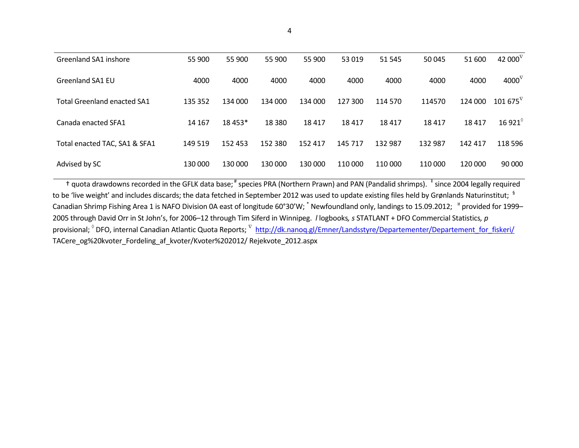| Greenland SA1 inshore              | 55 900  | 55 900  | 55 900   | 55 900  | 53 019  | 51 545  | 50 045  | 51 600  | 42 000 $^{\nabla}$ |
|------------------------------------|---------|---------|----------|---------|---------|---------|---------|---------|--------------------|
| <b>Greenland SA1 EU</b>            | 4000    | 4000    | 4000     | 4000    | 4000    | 4000    | 4000    | 4000    | 4000 $^{\nabla}$   |
| <b>Total Greenland enacted SA1</b> | 135 352 | 134 000 | 134 000  | 134 000 | 127 300 | 114 570 | 114570  | 124 000 | $101675^{\nabla}$  |
| Canada enacted SFA1                | 14 167  | 18 453* | 18 3 8 0 | 18417   | 18417   | 18417   | 18 417  | 18417   | 16 921 $^{\circ}$  |
| Total enacted TAC, SA1 & SFA1      | 149 519 | 152 453 | 152 380  | 152 417 | 145 717 | 132 987 | 132 987 | 142 417 | 118 596            |
| Advised by SC                      | 130 000 | 130 000 | 130 000  | 130 000 | 110 000 | 110 000 | 110 000 | 120 000 | 90 000             |

† quota drawdowns recorded in the GFLK data base; # species PRA (Northern Prawn) and PAN (Pandalid shrimps). <sup>‡</sup> since 2004 legally required to be 'live weight' and includes discards; the data fetched in September 2012 was used to update existing files held by Grønlands Naturinstitut;  $^{\, 5}$ Canadian Shrimp Fishing Area 1 is NAFO Division 0A east of longitude 60°30'W;  $*$  Newfoundland only, landings to 15.09.2012;  $*$  provided for 1999– 2005 through David Orr in St John's, for 2006–12 through Tim Siferd in Winnipeg. *l* logbooks*, s* STATLANT + DFO Commercial Statistics*, p* provisional; <sup>°</sup> DFO, internal Canadian Atlantic Quota Reports; <sup>∇</sup> [http://dk.nanoq.gl/Emner/Landsstyre/Departementer/Departement\\_for\\_fiskeri/](http://dk.nanoq.gl/Emner/Landsstyre/Departementer/Departement_for_fiskeri/) TACere\_og%20kvoter\_Fordeling\_af\_kvoter/Kvoter%202012/ Rejekvote\_2012.aspx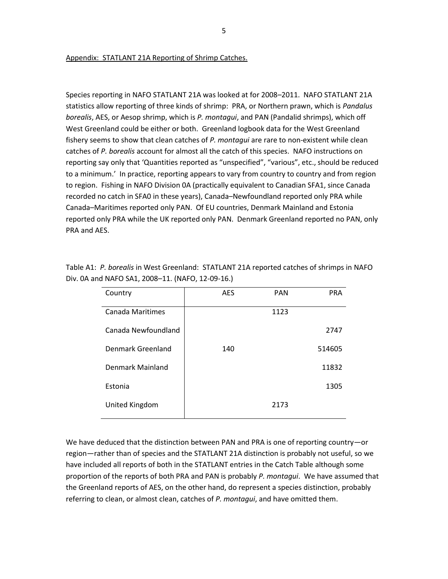Appendix: STATLANT 21A Reporting of Shrimp Catches.

Species reporting in NAFO STATLANT 21A was looked at for 2008–2011. NAFO STATLANT 21A statistics allow reporting of three kinds of shrimp: PRA, or Northern prawn, which is *Pandalus borealis*, AES, or Aesop shrimp, which is *P. montagui*, and PAN (Pandalid shrimps), which off West Greenland could be either or both. Greenland logbook data for the West Greenland fishery seems to show that clean catches of *P. montagui* are rare to non-existent while clean catches of *P. borealis* account for almost all the catch of this species. NAFO instructions on reporting say only that 'Quantities reported as "unspecified", "various", etc., should be reduced to a minimum.' In practice, reporting appears to vary from country to country and from region to region. Fishing in NAFO Division 0A (practically equivalent to Canadian SFA1, since Canada recorded no catch in SFA0 in these years), Canada–Newfoundland reported only PRA while Canada–Maritimes reported only PAN. Of EU countries, Denmark Mainland and Estonia reported only PRA while the UK reported only PAN. Denmark Greenland reported no PAN, only PRA and AES.

| Country             | <b>AES</b> | <b>PAN</b> | <b>PRA</b> |
|---------------------|------------|------------|------------|
| Canada Maritimes    |            | 1123       |            |
| Canada Newfoundland |            |            | 2747       |
| Denmark Greenland   | 140        |            | 514605     |
| Denmark Mainland    |            |            | 11832      |
| Estonia             |            |            | 1305       |
| United Kingdom      |            | 2173       |            |

Table A1: *P. borealis* in West Greenland: STATLANT 21A reported catches of shrimps in NAFO Div. 0A and NAFO SA1, 2008–11. (NAFO, 12-09-16.)

We have deduced that the distinction between PAN and PRA is one of reporting country—or region—rather than of species and the STATLANT 21A distinction is probably not useful, so we have included all reports of both in the STATLANT entries in the Catch Table although some proportion of the reports of both PRA and PAN is probably *P. montagui*. We have assumed that the Greenland reports of AES, on the other hand, do represent a species distinction, probably referring to clean, or almost clean, catches of *P. montagui*, and have omitted them.